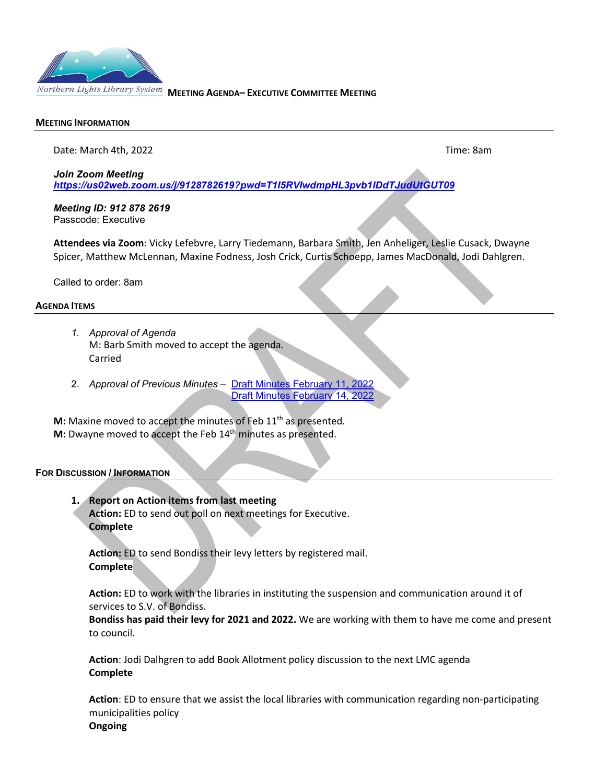

#### **MEETING INFORMATION**

Date: March 4th, 2022Time: 8am

*Join Zoom Meeting*

*<https://us02web.zoom.us/j/9128782619?pwd=T1I5RVIwdmpHL3pvb1lDdTJudUtGUT09>*

*Meeting ID: 912 878 2619* Passcode: Executive

**Attendees via Zoom**: Vicky Lefebvre, Larry Tiedemann, Barbara Smith, Jen Anheliger, Leslie Cusack, Dwayne Spicer, Matthew McLennan, Maxine Fodness, Josh Crick, Curtis Schoepp, James MacDonald, Jodi Dahlgren.

Called to order: 8am

## **AGENDA ITEMS**

- *1. Approval of Agenda*  M: Barb Smith moved to accept the agenda. Carried
- 2. *Approval of Previous Minutes* [Draft Minutes February 11, 2022](https://nlls-my.sharepoint.com/:w:/g/personal/jmacdonald_nlls_ab_ca/ERsOKBjdduROjdBRBhl3LlMBpiWHJv76QYVDgxd1i5aLpw?e=JoPOWd) [Draft Minutes February 14, 2022](https://nlls-my.sharepoint.com/:w:/g/personal/jmacdonald_nlls_ab_ca/ESc3slKcO9ZEsK3wGKykKGIBWPbTUeb_klIjj5l4OmS7rQ?e=QF75Pa)

**M:** Maxine moved to accept the minutes of Feb 11<sup>th</sup> as presented. **M:** Dwayne moved to accept the Feb 14<sup>th</sup> minutes as presented.

## **FOR DISCUSSION / INFORMATION**

**1. Report on Action items from last meeting Action:** ED to send out poll on next meetings for Executive. **Complete**

**Action:** ED to send Bondiss their levy letters by registered mail. **Complete**

**Action:** ED to work with the libraries in instituting the suspension and communication around it of services to S.V. of Bondiss.

**Bondiss has paid their levy for 2021 and 2022.** We are working with them to have me come and present to council.

**Action**: Jodi Dalhgren to add Book Allotment policy discussion to the next LMC agenda **Complete**

**Action**: ED to ensure that we assist the local libraries with communication regarding non-participating municipalities policy **Ongoing**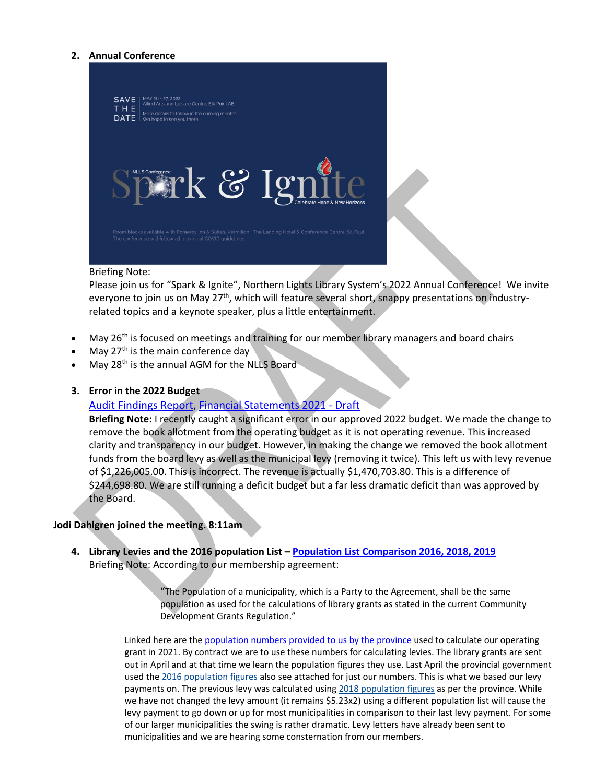## **2. Annual Conference**



#### Briefing Note:

Please join us for "Spark & Ignite", Northern Lights Library System's 2022 Annual Conference! We invite everyone to join us on May 27<sup>th</sup>, which will feature several short, snappy presentations on industryrelated topics and a keynote speaker, plus a little entertainment.

- May 26<sup>th</sup> is focused on meetings and training for our member library managers and board chairs
- May 27<sup>th</sup> is the main conference day
- May 28<sup>th</sup> is the annual AGM for the NLLS Board

## **3. Error in the 2022 Budget**

# [Audit Findings Report,](https://nlls-my.sharepoint.com/:b:/g/personal/jmacdonald_nlls_ab_ca/Ee3X_KLR_TVJuSbuiNzUzZwBeh97NpC0TvwjGF2rfjThBA?e=FSII6v) [Financial Statements 2021 - Draft](https://nlls-my.sharepoint.com/:b:/g/personal/jmacdonald_nlls_ab_ca/EXd0MaslEIdEiubkFyQIoR0Bz6F9zVdhlbjBXNfdt8DISg?e=JjlHAg)

**Briefing Note:** I recently caught a significant error in our approved 2022 budget. We made the change to remove the book allotment from the operating budget as it is not operating revenue. This increased clarity and transparency in our budget. However, in making the change we removed the book allotment funds from the board levy as well as the municipal levy (removing it twice). This left us with levy revenue of \$1,226,005.00. This is incorrect. The revenue is actually \$1,470,703.80. This is a difference of \$244,698.80. We are still running a deficit budget but a far less dramatic deficit than was approved by the Board.

## **Jodi Dahlgren joined the meeting. 8:11am**

l

**4. Library Levies and the 2016 population List [– Population List Comparison 2016, 2018, 2019](https://nlls-my.sharepoint.com/:x:/g/personal/thampson_nlls_ab_ca/Ee-K0rh8TVFLhgccf9eyUUEBHKsO8S0t2InxBetkcuSp-A?e=ZeeJzX)** Briefing Note: According to our membership agreement:

> "The Population of a municipality, which is a Party to the Agreement, shall be the same population as used for the calculations of library grants as stated in the current Community Development Grants Regulation."

Linked here are the [population numbers provided to us by the province](https://nlls-my.sharepoint.com/:b:/g/personal/jmacdonald_nlls_ab_ca/Ef2mEyGFaJtFsu1GhgddmqYB35WG5Grx0M8E5K7uz2qCCA?e=KqcIXw) used to calculate our operating grant in 2021. By contract we are to use these numbers for calculating levies. The library grants are sent out in April and at that time we learn the population figures they use. Last April the provincial government used the [2016 population figures](https://open.alberta.ca/dataset/daab9fce-c2f6-49d1-a433-375b2b7aee24/resource/66766b31-22fd-4365-af52-3d185cb52ea2/download/2016-municipal-affairs-population-list.pdf) also see attached for just our numbers. This is what we based our levy payments on. The previous levy was calculated using [2018 population figures](http://www.municipalaffairs.gov.ab.ca/documents/2018_MAPL_web.pdf) as per the province. While we have not changed the levy amount (it remains \$5.23x2) using a different population list will cause the levy payment to go down or up for most municipalities in comparison to their last levy payment. For some of our larger municipalities the swing is rather dramatic. Levy letters have already been sent to municipalities and we are hearing some consternation from our members.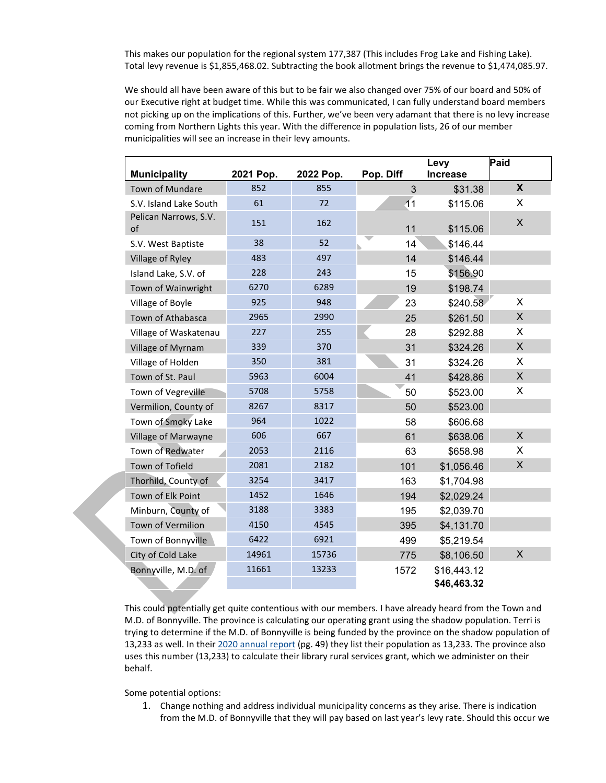This makes our population for the regional system 177,387 (This includes Frog Lake and Fishing Lake). Total levy revenue is \$1,855,468.02. Subtracting the book allotment brings the revenue to \$1,474,085.97.

We should all have been aware of this but to be fair we also changed over 75% of our board and 50% of our Executive right at budget time. While this was communicated, I can fully understand board members not picking up on the implications of this. Further, we've been very adamant that there is no levy increase coming from Northern Lights this year. With the difference in population lists, 26 of our member municipalities will see an increase in their levy amounts.

|                             |           |           |                 | Levy            | Paid                      |
|-----------------------------|-----------|-----------|-----------------|-----------------|---------------------------|
| <b>Municipality</b>         | 2021 Pop. | 2022 Pop. | Pop. Diff       | <b>Increase</b> |                           |
| <b>Town of Mundare</b>      | 852       | 855       | 3               | \$31.38         | $\boldsymbol{X}$          |
| S.V. Island Lake South      | 61        | 72        | $\overline{11}$ | \$115.06        | X                         |
| Pelican Narrows, S.V.<br>of | 151       | 162       | 11              | \$115.06        | X                         |
| S.V. West Baptiste          | 38        | 52        | 14              | \$146.44        |                           |
| Village of Ryley            | 483       | 497       | 14              | \$146.44        |                           |
| Island Lake, S.V. of        | 228       | 243       | 15              | \$156.90        |                           |
| Town of Wainwright          | 6270      | 6289      | 19              | \$198.74        |                           |
| Village of Boyle            | 925       | 948       | 23              | \$240.58        | X                         |
| Town of Athabasca           | 2965      | 2990      | 25              | \$261.50        | X                         |
| Village of Waskatenau       | 227       | 255       | 28              | \$292.88        | X                         |
| Village of Myrnam           | 339       | 370       | 31              | \$324.26        | X                         |
| Village of Holden           | 350       | 381       | 31              | \$324.26        | X                         |
| Town of St. Paul            | 5963      | 6004      | 41              | \$428.86        | $\mathsf{X}$              |
| Town of Vegreville          | 5708      | 5758      | 50              | \$523.00        | X                         |
| Vermilion, County of        | 8267      | 8317      | 50              | \$523.00        |                           |
| Town of Smoky Lake          | 964       | 1022      | 58              | \$606.68        |                           |
| Village of Marwayne         | 606       | 667       | 61              | \$638.06        | $\boldsymbol{\mathsf{X}}$ |
| Town of Redwater            | 2053      | 2116      | 63              | \$658.98        | X                         |
| Town of Tofield             | 2081      | 2182      | 101             | \$1,056.46      | $\sf X$                   |
| Thorhild, County of         | 3254      | 3417      | 163             | \$1,704.98      |                           |
| Town of Elk Point           | 1452      | 1646      | 194             | \$2,029.24      |                           |
| Minburn, County of          | 3188      | 3383      | 195             | \$2,039.70      |                           |
| Town of Vermilion           | 4150      | 4545      | 395             | \$4,131.70      |                           |
| Town of Bonnyville          | 6422      | 6921      | 499             | \$5,219.54      |                           |
| City of Cold Lake           | 14961     | 15736     | 775             | \$8,106.50      | $\times$                  |
| Bonnyville, M.D. of         | 11661     | 13233     | 1572            | \$16,443.12     |                           |
|                             |           |           |                 | \$46,463.32     |                           |

This could potentially get quite contentious with our members. I have already heard from the Town and M.D. of Bonnyville. The province is calculating our operating grant using the shadow population. Terri is trying to determine if the M.D. of Bonnyville is being funded by the province on the shadow population of 13,233 as well. In their [2020 annual report](https://www.md.bonnyville.ab.ca/ArchiveCenter/ViewFile/Item/850) (pg. 49) they list their population as 13,233. The province also uses this number (13,233) to calculate their library rural services grant, which we administer on their behalf.

Some potential options:

1. Change nothing and address individual municipality concerns as they arise. There is indication from the M.D. of Bonnyville that they will pay based on last year's levy rate. Should this occur we